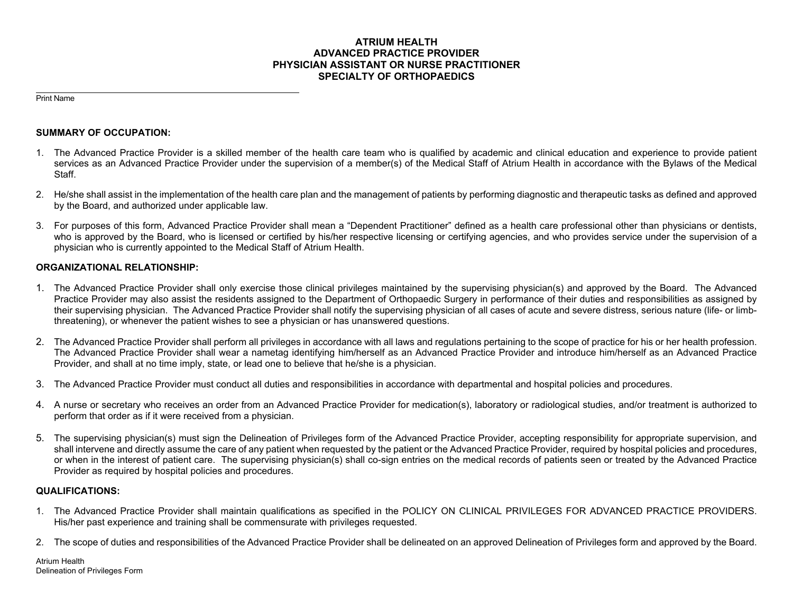## **ATRIUM HEALTH ADVANCED PRACTICE PROVIDER PHYSICIAN ASSISTANT OR NURSE PRACTITIONER SPECIALTY OF ORTHOPAEDICS**

Print Name

### **SUMMARY OF OCCUPATION:**

- 1. The Advanced Practice Provider is a skilled member of the health care team who is qualified by academic and clinical education and experience to provide patient services as an Advanced Practice Provider under the supervision of a member(s) of the Medical Staff of Atrium Health in accordance with the Bylaws of the Medical Staff.
- 2. He/she shall assist in the implementation of the health care plan and the management of patients by performing diagnostic and therapeutic tasks as defined and approved by the Board, and authorized under applicable law.
- 3. For purposes of this form, Advanced Practice Provider shall mean a "Dependent Practitioner" defined as a health care professional other than physicians or dentists, who is approved by the Board, who is licensed or certified by his/her respective licensing or certifying agencies, and who provides service under the supervision of a physician who is currently appointed to the Medical Staff of Atrium Health.

## **ORGANIZATIONAL RELATIONSHIP:**

- 1. The Advanced Practice Provider shall only exercise those clinical privileges maintained by the supervising physician(s) and approved by the Board. The Advanced Practice Provider may also assist the residents assigned to the Department of Orthopaedic Surgery in performance of their duties and responsibilities as assigned by their supervising physician. The Advanced Practice Provider shall notify the supervising physician of all cases of acute and severe distress, serious nature (life- or limbthreatening), or whenever the patient wishes to see a physician or has unanswered questions.
- 2. The Advanced Practice Provider shall perform all privileges in accordance with all laws and regulations pertaining to the scope of practice for his or her health profession. The Advanced Practice Provider shall wear a nametag identifying him/herself as an Advanced Practice Provider and introduce him/herself as an Advanced Practice Provider, and shall at no time imply, state, or lead one to believe that he/she is a physician.
- 3. The Advanced Practice Provider must conduct all duties and responsibilities in accordance with departmental and hospital policies and procedures.
- 4. A nurse or secretary who receives an order from an Advanced Practice Provider for medication(s), laboratory or radiological studies, and/or treatment is authorized to perform that order as if it were received from a physician.
- 5. The supervising physician(s) must sign the Delineation of Privileges form of the Advanced Practice Provider, accepting responsibility for appropriate supervision, and shall intervene and directly assume the care of any patient when requested by the patient or the Advanced Practice Provider, required by hospital policies and procedures, or when in the interest of patient care. The supervising physician(s) shall co-sign entries on the medical records of patients seen or treated by the Advanced Practice Provider as required by hospital policies and procedures.

## **QUALIFICATIONS:**

- 1. The Advanced Practice Provider shall maintain qualifications as specified in the POLICY ON CLINICAL PRIVILEGES FOR ADVANCED PRACTICE PROVIDERS. His/her past experience and training shall be commensurate with privileges requested.
- 2. The scope of duties and responsibilities of the Advanced Practice Provider shall be delineated on an approved Delineation of Privileges form and approved by the Board.

Atrium Health Delineation of Privileges Form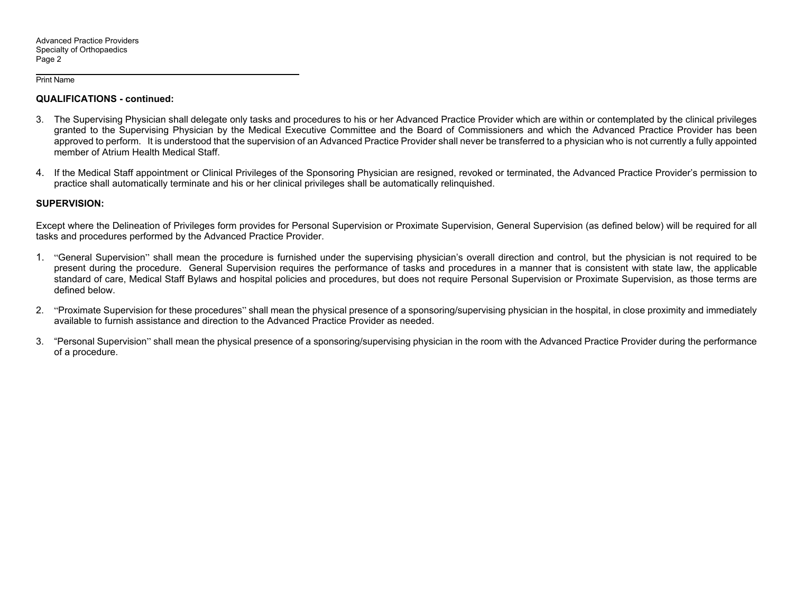#### Print Name

## **QUALIFICATIONS - continued:**

- 3. The Supervising Physician shall delegate only tasks and procedures to his or her Advanced Practice Provider which are within or contemplated by the clinical privileges granted to the Supervising Physician by the Medical Executive Committee and the Board of Commissioners and which the Advanced Practice Provider has been approved to perform. It is understood that the supervision of an Advanced Practice Provider shall never be transferred to a physician who is not currently a fully appointed member of Atrium Health Medical Staff.
- 4. If the Medical Staff appointment or Clinical Privileges of the Sponsoring Physician are resigned, revoked or terminated, the Advanced Practice Provider's permission to practice shall automatically terminate and his or her clinical privileges shall be automatically relinquished.

### **SUPERVISION:**

Except where the Delineation of Privileges form provides for Personal Supervision or Proximate Supervision, General Supervision (as defined below) will be required for all tasks and procedures performed by the Advanced Practice Provider.

- 1. "General Supervision" shall mean the procedure is furnished under the supervising physician's overall direction and control, but the physician is not required to be present during the procedure. General Supervision requires the performance of tasks and procedures in a manner that is consistent with state law, the applicable standard of care, Medical Staff Bylaws and hospital policies and procedures, but does not require Personal Supervision or Proximate Supervision, as those terms are defined below.
- 2. "Proximate Supervision for these procedures" shall mean the physical presence of a sponsoring/supervising physician in the hospital, in close proximity and immediately available to furnish assistance and direction to the Advanced Practice Provider as needed.
- 3. "Personal Supervision" shall mean the physical presence of a sponsoring/supervising physician in the room with the Advanced Practice Provider during the performance of a procedure.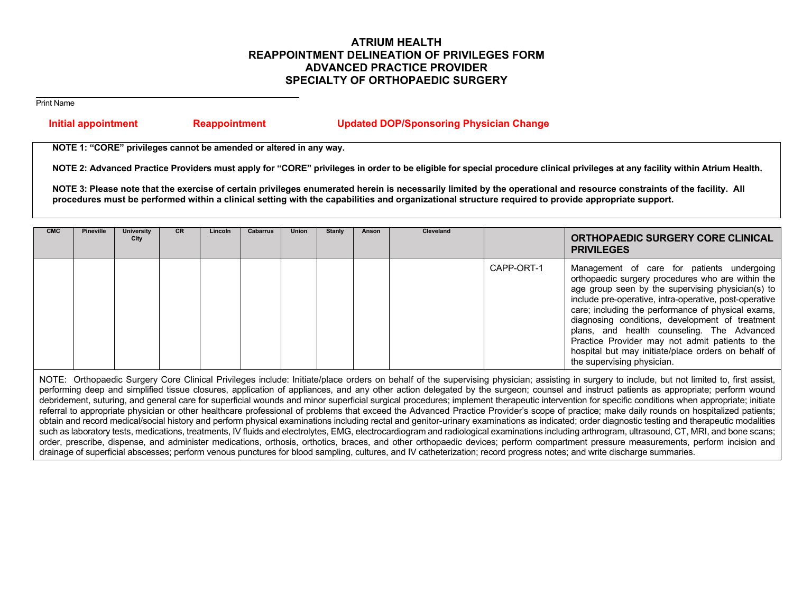# **ATRIUM HEALTH REAPPOINTMENT DELINEATION OF PRIVILEGES FORM ADVANCED PRACTICE PROVIDER SPECIALTY OF ORTHOPAEDIC SURGERY**

Print Name

## **Initial appointment Reappointment Updated DOP/Sponsoring Physician Change**

**NOTE 1: "CORE" privileges cannot be amended or altered in any way.** 

**NOTE 2: Advanced Practice Providers must apply for "CORE" privileges in order to be eligible for special procedure clinical privileges at any facility within Atrium Health.** 

**NOTE 3: Please note that the exercise of certain privileges enumerated herein is necessarily limited by the operational and resource constraints of the facility. All procedures must be performed within a clinical setting with the capabilities and organizational structure required to provide appropriate support.** 

| <b>CMC</b> | Pineville | <b>University</b><br>City | <b>CR</b> | Lincoln | <b>Cabarrus</b> | <b>Union</b> | Stanly | Anson | Cleveland |            | ORTHOPAEDIC SURGERY CORE CLINICAL<br><b>PRIVILEGES</b>                                                                                                                                                                                                                                                                                                                                                                                                                                                        |
|------------|-----------|---------------------------|-----------|---------|-----------------|--------------|--------|-------|-----------|------------|---------------------------------------------------------------------------------------------------------------------------------------------------------------------------------------------------------------------------------------------------------------------------------------------------------------------------------------------------------------------------------------------------------------------------------------------------------------------------------------------------------------|
|            |           |                           |           |         |                 |              |        |       |           | CAPP-ORT-1 | Management of care for patients undergoing<br>orthopaedic surgery procedures who are within the<br>age group seen by the supervising physician(s) to<br>include pre-operative, intra-operative, post-operative<br>care; including the performance of physical exams,<br>diagnosing conditions, development of treatment<br>plans, and health counseling. The Advanced<br>Practice Provider may not admit patients to the<br>hospital but may initiate/place orders on behalf of<br>the supervising physician. |

NOTE: Orthopaedic Surgery Core Clinical Privileges include: Initiate/place orders on behalf of the supervising physician; assisting in surgery to include, but not limited to, first assist, performing deep and simplified tissue closures, application of appliances, and any other action delegated by the surgeon; counsel and instruct patients as appropriate; perform wound debridement, suturing, and general care for superficial wounds and minor superficial surgical procedures; implement therapeutic intervention for specific conditions when appropriate; initiate referral to appropriate physician or other healthcare professional of problems that exceed the Advanced Practice Provider's scope of practice; make daily rounds on hospitalized patients; obtain and record medical/social history and perform physical examinations including rectal and genitor-urinary examinations as indicated; order diagnostic testing and therapeutic modalities such as laboratory tests, medications, treatments, IV fluids and electrolytes, EMG, electrocardiogram and radiological examinations including arthrogram, ultrasound, CT, MRI, and bone scans; order, prescribe, dispense, and administer medications, orthosis, orthotics, braces, and other orthopaedic devices; perform compartment pressure measurements, perform incision and drainage of superficial abscesses; perform venous punctures for blood sampling, cultures, and IV catheterization; record progress notes; and write discharge summaries.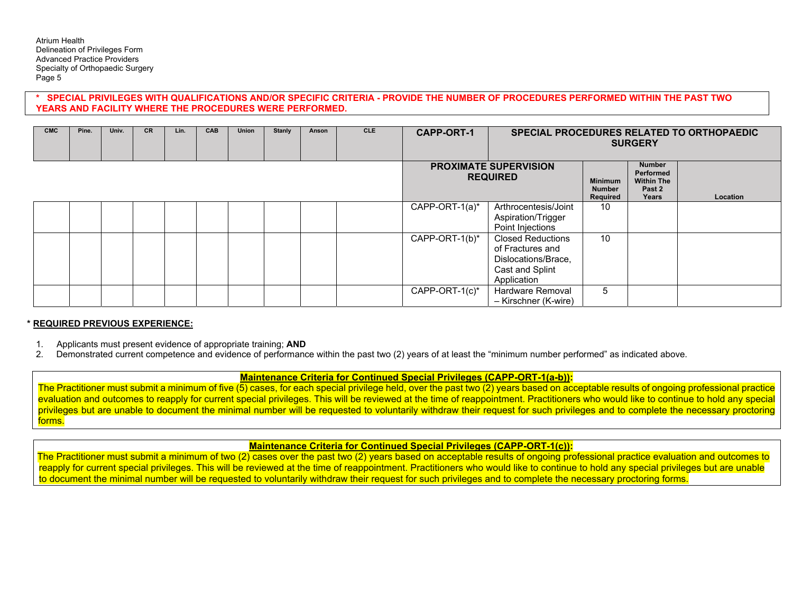### **\* SPECIAL PRIVILEGES WITH QUALIFICATIONS AND/OR SPECIFIC CRITERIA - PROVIDE THE NUMBER OF PROCEDURES PERFORMED WITHIN THE PAST TWO YEARS AND FACILITY WHERE THE PROCEDURES WERE PERFORMED.**

| <b>CMC</b> | Pine. | Univ. | <b>CR</b> | Lin. | <b>CAB</b> | Union | <b>Stanly</b> | Anson | <b>CLE</b> | <b>CAPP-ORT-1</b> | SPECIAL PROCEDURES RELATED TO ORTHOPAEDIC<br><b>SURGERY</b>                                    |                                             |                                                                    |                 |
|------------|-------|-------|-----------|------|------------|-------|---------------|-------|------------|-------------------|------------------------------------------------------------------------------------------------|---------------------------------------------|--------------------------------------------------------------------|-----------------|
|            |       |       |           |      |            |       |               |       |            |                   | <b>PROXIMATE SUPERVISION</b><br><b>REQUIRED</b>                                                | <b>Minimum</b><br><b>Number</b><br>Required | <b>Number</b><br>Performed<br><b>Within The</b><br>Past 2<br>Years | <b>Location</b> |
|            |       |       |           |      |            |       |               |       |            | CAPP-ORT-1(a)*    | Arthrocentesis/Joint<br>Aspiration/Trigger<br>Point Injections                                 | 10                                          |                                                                    |                 |
|            |       |       |           |      |            |       |               |       |            | CAPP-ORT-1(b)*    | Closed Reductions<br>of Fractures and<br>Dislocations/Brace,<br>Cast and Splint<br>Application | 10                                          |                                                                    |                 |
|            |       |       |           |      |            |       |               |       |            | CAPP-ORT-1(c)*    | Hardware Removal<br>- Kirschner (K-wire)                                                       | 5                                           |                                                                    |                 |

### **\* REQUIRED PREVIOUS EXPERIENCE:**

- 1. Applicants must present evidence of appropriate training; **AND**
- 2. Demonstrated current competence and evidence of performance within the past two (2) years of at least the "minimum number performed" as indicated above.

## **Maintenance Criteria for Continued Special Privileges (CAPP-ORT-1(a-b)):**

The Practitioner must submit a minimum of five (5) cases, for each special privilege held, over the past two (2) years based on acceptable results of ongoing professional practice evaluation and outcomes to reapply for current special privileges. This will be reviewed at the time of reappointment. Practitioners who would like to continue to hold any special privileges but are unable to document the minimal number will be requested to voluntarily withdraw their request for such privileges and to complete the necessary proctoring forms.

# **Maintenance Criteria for Continued Special Privileges (CAPP-ORT-1(c)):**

The Practitioner must submit a minimum of two (2) cases over the past two (2) years based on acceptable results of ongoing professional practice evaluation and outcomes to reapply for current special privileges. This will be reviewed at the time of reappointment. Practitioners who would like to continue to hold any special privileges but are unable to document the minimal number will be requested to voluntarily withdraw their request for such privileges and to complete the necessary proctoring forms.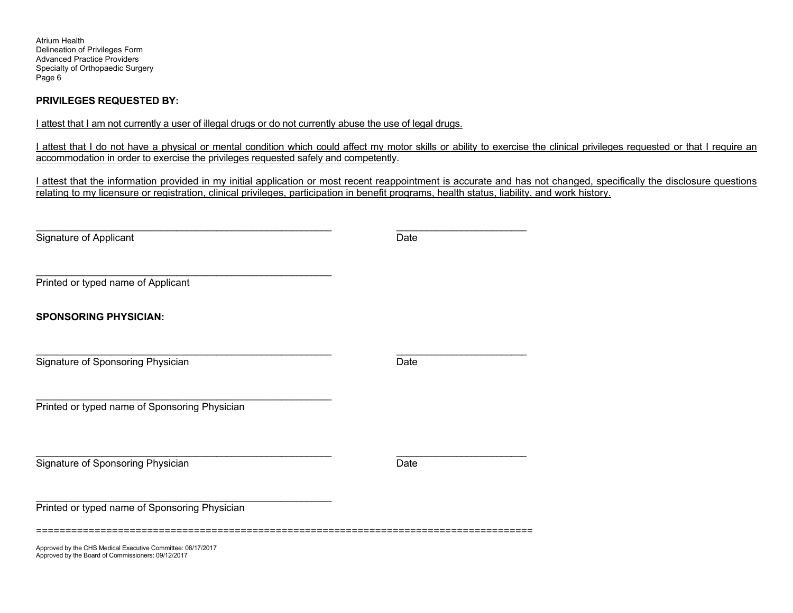Atrium Health Delineation of Privileges Form Advanced Practice Providers Specialty of Orthopaedic Surgery Page 6

## **PRIVILEGES REQUESTED BY:**

I attest that I am not currently a user of illegal drugs or do not currently abuse the use of legal drugs.

I attest that I do not have a physical or mental condition which could affect my motor skills or ability to exercise the clinical privileges requested or that I require an accommodation in order to exercise the privileges requested safely and competently.

I attest that the information provided in my initial application or most recent reappointment is accurate and has not changed, specifically the disclosure questions relating to my licensure or registration, clinical privileges, participation in benefit programs, health status, liability, and work history.

| Signature of Applicant                                      | Date |
|-------------------------------------------------------------|------|
|                                                             |      |
| Printed or typed name of Applicant                          |      |
| <b>SPONSORING PHYSICIAN:</b>                                |      |
|                                                             |      |
| Signature of Sponsoring Physician                           | Date |
| Printed or typed name of Sponsoring Physician               |      |
|                                                             |      |
| Signature of Sponsoring Physician                           | Date |
| Printed or typed name of Sponsoring Physician               |      |
| Approved by the CHS Medical Executive Committee: 08/17/2017 |      |

Approved by the Board of Commissioners: 09/12/2017